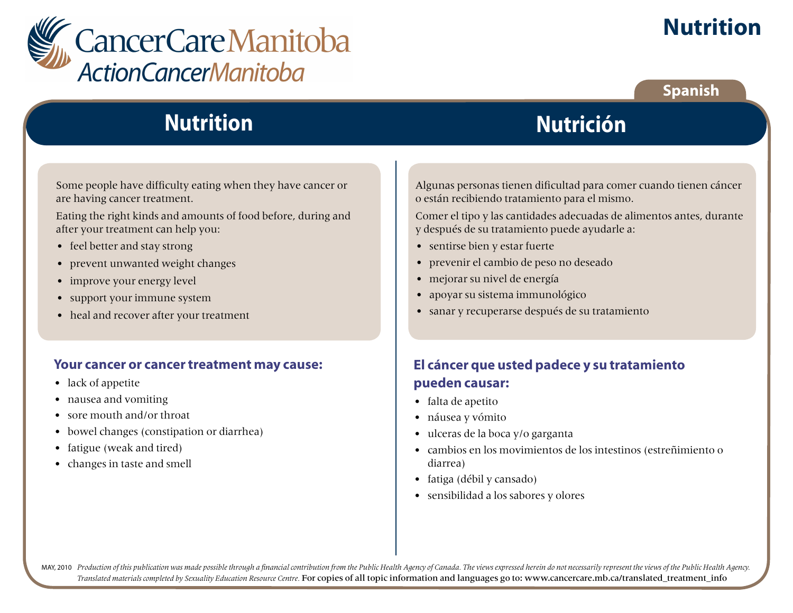

### **Spanish**

# **Nutrition**

Some people have difficulty eating when they have cancer or are having cancer treatment.

Eating the right kinds and amounts of food before, during and after your treatment can help you:

- feel better and stay strong
- prevent unwanted weight changes
- improve your energy level
- support your immune system
- heal and recover after your treatment

#### **Your cancer or cancer treatment may cause:**

- lack of appetite
- nausea and vomiting
- sore mouth and/or throat
- bowel changes (constipation or diarrhea)
- fatigue (weak and tired)
- changes in taste and smell

Algunas personas tienen dificultad para comer cuando tienen cáncer o están recibiendo tratamiento para el mismo.

**Nutrición**

Comer el tipo y las cantidades adecuadas de alimentos antes, durante y después de su tratamiento puede ayudarle a:

- sentirse bien y estar fuerte
- prevenir el cambio de peso no deseado
- mejorar su nivel de energía
- apoyar su sistema immunológico
- sanar y recuperarse después de su tratamiento

### **El cáncer que usted padece y su tratamiento pueden causar:**

- falta de apetito
- náusea y vómito
- ulceras de la boca y/o garganta
- cambios en los movimientos de los intestinos (estreñimiento o diarrea)
- fatiga (débil y cansado)
- sensibilidad a los sabores y olores

MAY, 2010 Production of this publication was made possible through a financial contribution from the Public Health Agency of Canada. The views expressed herein do not necessarily represent the views of the Public Health Ag *Translated materials completed by Sexuality Education Resource Centre.* For copies of all topic information and languages go to: www.cancercare.mb.ca/translated\_treatment\_info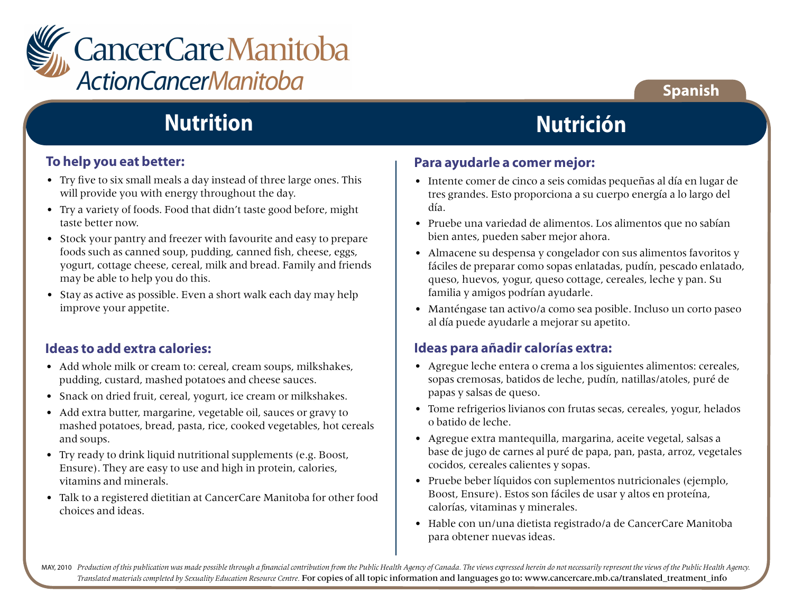

#### **To help you eat better:**

- Try five to six small meals a day instead of three large ones. This will provide you with energy throughout the day.
- Try a variety of foods. Food that didn't taste good before, might taste better now.
- Stock your pantry and freezer with favourite and easy to prepare foods such as canned soup, pudding, canned fish, cheese, eggs, yogurt, cottage cheese, cereal, milk and bread. Family and friends may be able to help you do this.
- Stay as active as possible. Even a short walk each day may help improve your appetite.

#### **Ideas to add extra calories:**

- Add whole milk or cream to: cereal, cream soups, milkshakes, pudding, custard, mashed potatoes and cheese sauces.
- Snack on dried fruit, cereal, yogurt, ice cream or milkshakes.
- Add extra butter, margarine, vegetable oil, sauces or gravy to mashed potatoes, bread, pasta, rice, cooked vegetables, hot cereals and soups.
- Try ready to drink liquid nutritional supplements (e.g. Boost, Ensure). They are easy to use and high in protein, calories, vitamins and minerals.
- Talk to a registered dietitian at CancerCare Manitoba for other food choices and ideas.

# **Nutrición**

### **Para ayudarle a comer mejor:**

- Intente comer de cinco a seis comidas pequeñas al día en lugar de tres grandes. Esto proporciona a su cuerpo energía a lo largo del día.
- Pruebe una variedad de alimentos. Los alimentos que no sabían bien antes, pueden saber mejor ahora.
- Almacene su despensa y congelador con sus alimentos favoritos y fáciles de preparar como sopas enlatadas, pudín, pescado enlatado, queso, huevos, yogur, queso cottage, cereales, leche y pan. Su familia y amigos podrían ayudarle.
- Manténgase tan activo/a como sea posible. Incluso un corto paseo al día puede ayudarle a mejorar su apetito.

#### **Ideas para añadir calorías extra:**

- Agregue leche entera o crema a los siguientes alimentos: cereales, sopas cremosas, batidos de leche, pudín, natillas/atoles, puré de papas y salsas de queso.
- Tome refrigerios livianos con frutas secas, cereales, yogur, helados o batido de leche.
- Agregue extra mantequilla, margarina, aceite vegetal, salsas a base de jugo de carnes al puré de papa, pan, pasta, arroz, vegetales cocidos, cereales calientes y sopas.
- Pruebe beber líquidos con suplementos nutricionales (ejemplo, Boost, Ensure). Estos son fáciles de usar y altos en proteína, calorías, vitaminas y minerales.
- Hable con un/una dietista registrado/a de CancerCare Manitoba para obtener nuevas ideas.

MAY, 2010 Production of this publication was made possible through a financial contribution from the Public Health Agency of Canada. The views expressed herein do not necessarily represent the views of the Public Health Ag *Translated materials completed by Sexuality Education Resource Centre.* For copies of all topic information and languages go to: www.cancercare.mb.ca/translated\_treatment\_info

### **Spanish**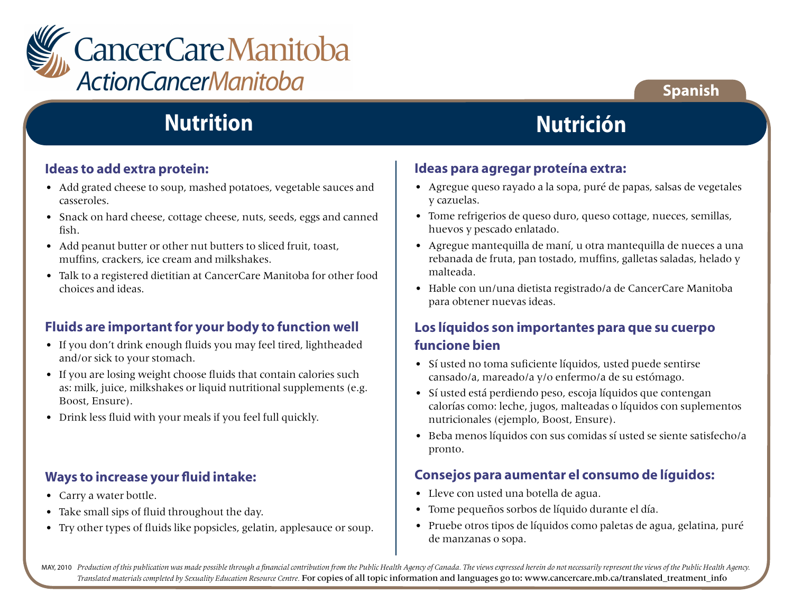

#### **Ideas to add extra protein:**

- Add grated cheese to soup, mashed potatoes, vegetable sauces and casseroles.
- Snack on hard cheese, cottage cheese, nuts, seeds, eggs and canned fish.
- Add peanut butter or other nut butters to sliced fruit, toast, muffins, crackers, ice cream and milkshakes.
- Talk to a registered dietitian at CancerCare Manitoba for other food choices and ideas.

### **Fluids are important for your body to function well**

- If you don't drink enough fluids you may feel tired, lightheaded and/or sick to your stomach.
- If you are losing weight choose fluids that contain calories such as: milk, juice, milkshakes or liquid nutritional supplements (e.g. Boost, Ensure).
- Drink less fluid with your meals if you feel full quickly.

#### **Ways to increase your fluid intake:**

- Carry a water bottle.
- Take small sips of fluid throughout the day.
- Try other types of fluids like popsicles, gelatin, applesauce or soup.

## **Nutrición**

**Spanish**

#### **Ideas para agregar proteína extra:**

- Agregue queso rayado a la sopa, puré de papas, salsas de vegetales y cazuelas.
- Tome refrigerios de queso duro, queso cottage, nueces, semillas, huevos y pescado enlatado.
- Agregue mantequilla de maní, u otra mantequilla de nueces a una rebanada de fruta, pan tostado, muffins, galletas saladas, helado y malteada.
- Hable con un/una dietista registrado/a de CancerCare Manitoba para obtener nuevas ideas.

### **Los líquidos son importantes para que su cuerpo funcione bien**

- Sí usted no toma suficiente líquidos, usted puede sentirse cansado/a, mareado/a y/o enfermo/a de su estómago.
- Sí usted está perdiendo peso, escoja líquidos que contengan calorías como: leche, jugos, malteadas o líquidos con suplementos nutricionales (ejemplo, Boost, Ensure).
- Beba menos líquidos con sus comidas sí usted se siente satisfecho/a pronto.

#### **Consejos para aumentar el consumo de líguidos:**

- Lleve con usted una botella de agua.
- Tome pequeños sorbos de líquido durante el día.
- Pruebe otros tipos de líquidos como paletas de agua, gelatina, puré de manzanas o sopa.

MAY, 2010 Production of this publication was made possible through a financial contribution from the Public Health Agency of Canada. The views expressed herein do not necessarily represent the views of the Public Health Ag *Translated materials completed by Sexuality Education Resource Centre.* For copies of all topic information and languages go to: www.cancercare.mb.ca/translated\_treatment\_info